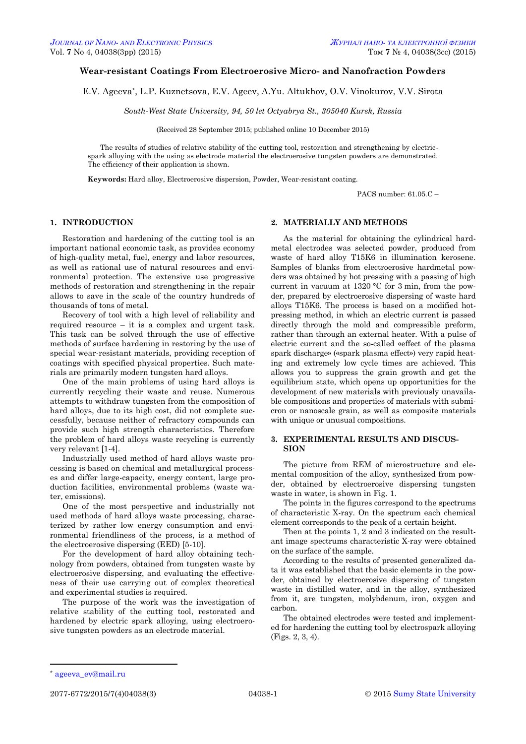## **Wear-resistant Coatings From Electroerosive Micro- and Nanofraction Powders**

E.V. Ageeva\* , L.P. Kuznetsova, E.V. Ageev, A.Yu. Altukhov, O.V. Vinokurov, V.V. Sirota

*South-West State University, 94, 50 let Octyabrya St., 305040 Kursk, Russia*

(Received 28 September 2015; published online 10 December 2015)

The results of studies of relative stability of the cutting tool, restoration and strengthening by electricspark alloying with the using as electrode material the electroerosive tungsten powders are demonstrated. The efficiency of their application is shown.

**Keywords:** Hard alloy, Electroerosive dispersion, Powder, Wear-resistant coating.

PACS number:  $61.05C =$ 

# **1. INTRODUCTION**

Restoration and hardening of the cutting tool is an important national economic task, as provides economy of high-quality metal, fuel, energy and labor resources, as well as rational use of natural resources and environmental protection. The extensive use progressive methods of restoration and strengthening in the repair allows to save in the scale of the country hundreds of thousands of tons of metal.

Recovery of tool with a high level of reliability and required resource – it is a complex and urgent task. This task can be solved through the use of effective methods of surface hardening in restoring by the use of special wear-resistant materials, providing reception of coatings with specified physical properties. Such materials are primarily modern tungsten hard alloys.

One of the main problems of using hard alloys is currently recycling their waste and reuse. Numerous attempts to withdraw tungsten from the composition of hard alloys, due to its high cost, did not complete successfully, because neither of refractory compounds can provide such high strength characteristics. Therefore the problem of hard alloys waste recycling is currently very relevant [1-4].

Industrially used method of hard alloys waste processing is based on chemical and metallurgical processes and differ large-capacity, energy content, large production facilities, environmental problems (waste water emissions).

One of the most perspective and industrially not used methods of hard alloys waste processing, characterized by rather low energy consumption and environmental friendliness of the process, is a method of the electroerosive dispersing (EED) [5-10].

For the development of hard alloy obtaining technology from powders, obtained from tungsten waste by electroerosive dispersing, and evaluating the effectiveness of their use carrying out of complex theoretical and experimental studies is required.

The purpose of the work was the investigation of relative stability of the cutting tool, restorated and hardened by electric spark alloying, using electroerosive tungsten powders as an electrode material.

### **2. MATERIALLY AND METHODS**

As the material for obtaining the cylindrical hardmetal electrodes was selected powder, produced from waste of hard alloy T15K6 in illumination kerosene. Samples of blanks from electroerosive hardmetal powders was obtained by hot pressing with a passing of high current in vacuum at 1320 °C for 3 min, from the powder, prepared by electroerosive dispersing of waste hard alloys T15K6. The process is based on a modified hotpressing method, in which an electric current is passed directly through the mold and compressible preform, rather than through an external heater. With a pulse of electric current and the so-called «effect of the plasma spark discharge» («spark plasma effect») very rapid heating and extremely low cycle times are achieved. This allows you to suppress the grain growth and get the equilibrium state, which opens up opportunities for the development of new materials with previously unavailable compositions and properties of materials with submicron or nanoscale grain, as well as composite materials with unique or unusual compositions.

## **3. EXPERIMENTAL RESULTS AND DISCUS-SION**

The picture from REM of microstructure and elemental composition of the alloy, synthesized from powder, obtained by electroerosive dispersing tungsten waste in water, is shown in Fig. 1.

The points in the figures correspond to the spectrums of characteristic X-ray. On the spectrum each chemical element corresponds to the peak of a certain height.

Then at the points 1, 2 and 3 indicated on the resultant image spectrums characteristic X-ray were obtained on the surface of the sample.

According to the results of presented generalized data it was established that the basic elements in the powder, obtained by electroerosive dispersing of tungsten waste in distilled water, and in the alloy, synthesized from it, are tungsten, molybdenum, iron, oxygen and carbon.

The obtained electrodes were tested and implemented for hardening the cutting tool by electrospark alloying (Figs. 2, 3, 4).

**.** 

<span id="page-0-3"></span><span id="page-0-2"></span><span id="page-0-1"></span><span id="page-0-0"></span>

<sup>\*</sup> [ageeva\\_ev@mail.ru](mailto:ageev_ev@mail.ru)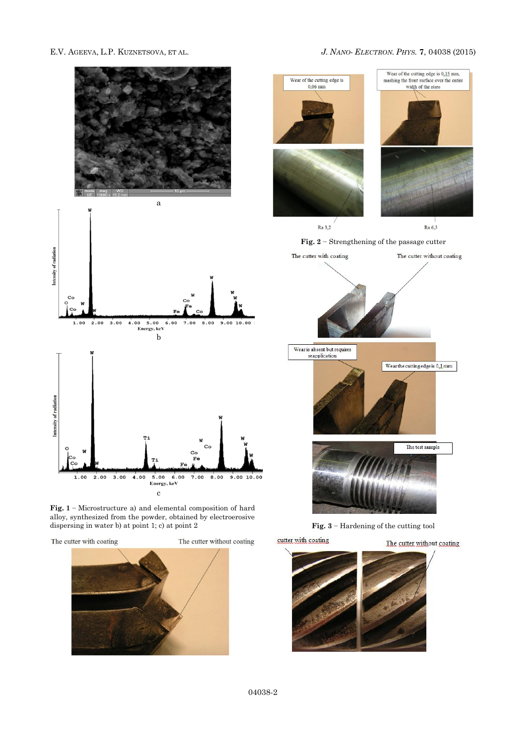## E.V. AGEEVA, L.P. KUZNETSOVA, ET AL. *J. NANO- ELECTRON. PHYS.* **[7](#page-0-2)**, [04038](#page-0-2) [\(2015\)](#page-0-2)



**Fig. 1** − Microstructure a) and elemental composition of hard alloy, synthesized from the powder, obtained by electroerosive dispersing in water b) at point 1; c) at point 2

The cutter with coating





**Fig. 2** − Strengthening of the passage cutter







**Fig. 3** − Hardening of the cutting tool

The cutter without coating



cutter with coating